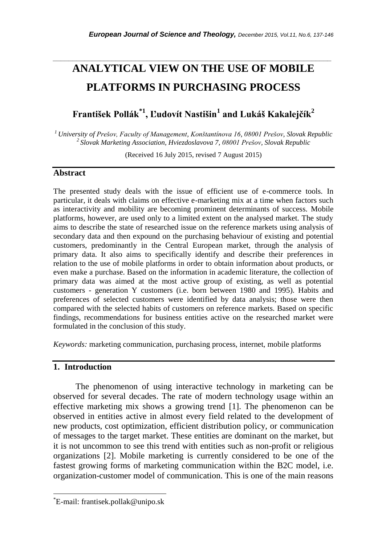# **ANALYTICAL VIEW ON THE USE OF MOBILE PLATFORMS IN PURCHASING PROCESS**

*\_\_\_\_\_\_\_\_\_\_\_\_\_\_\_\_\_\_\_\_\_\_\_\_\_\_\_\_\_\_\_\_\_\_\_\_\_\_\_\_\_\_\_\_\_\_\_\_\_\_\_\_\_\_\_\_\_\_\_\_\_\_\_\_\_\_\_\_\_\_\_*

**František Pollák\*1 , Ľudovít Nastišin<sup>1</sup> and Lukáš Kakalejčík<sup>2</sup>**

*<sup>1</sup>University of Prešov, Faculty of Management, Konštantínova 16, 08001 Prešov, Slovak Republic <sup>2</sup>Slovak Marketing Association, Hviezdoslavova 7, 08001 Prešov, Slovak Republic*

(Received 16 July 2015, revised 7 August 2015)

#### **Abstract**

The presented study deals with the issue of efficient use of e-commerce tools. In particular, it deals with claims on effective e-marketing mix at a time when factors such as interactivity and mobility are becoming prominent determinants of success. Mobile platforms, however, are used only to a limited extent on the analysed market. The study aims to describe the state of researched issue on the reference markets using analysis of secondary data and then expound on the purchasing behaviour of existing and potential customers, predominantly in the Central European market, through the analysis of primary data. It also aims to specifically identify and describe their preferences in relation to the use of mobile platforms in order to obtain information about products, or even make a purchase. Based on the information in academic literature, the collection of primary data was aimed at the most active group of existing, as well as potential customers - generation Y customers (i.e. born between 1980 and 1995). Habits and preferences of selected customers were identified by data analysis; those were then compared with the selected habits of customers on reference markets. Based on specific findings, recommendations for business entities active on the researched market were formulated in the conclusion of this study.

*Keywords:* marketing communication, purchasing process, internet, mobile platforms

# **1. Introduction**

l

The phenomenon of using interactive technology in marketing can be observed for several decades. The rate of modern technology usage within an effective marketing mix shows a growing trend [1]. The phenomenon can be observed in entities active in almost every field related to the development of new products, cost optimization, efficient distribution policy, or communication of messages to the target market. These entities are dominant on the market, but it is not uncommon to see this trend with entities such as non-profit or religious organizations [2]. Mobile marketing is currently considered to be one of the fastest growing forms of marketing communication within the B2C model, i.e. organization-customer model of communication. This is one of the main reasons

<sup>\*</sup>E-mail: frantisek.pollak@unipo.sk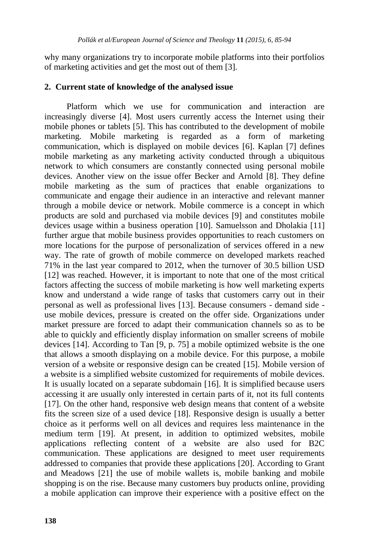why many organizations try to incorporate mobile platforms into their portfolios of marketing activities and get the most out of them [3].

#### **2. Current state of knowledge of the analysed issue**

Platform which we use for communication and interaction are increasingly diverse [4]. Most users currently access the Internet using their mobile phones or tablets [5]. This has contributed to the development of mobile marketing. Mobile marketing is regarded as a form of marketing communication, which is displayed on mobile devices [6]. Kaplan [7] defines mobile marketing as any marketing activity conducted through a ubiquitous network to which consumers are constantly connected using personal mobile devices. Another view on the issue offer Becker and Arnold [8]. They define mobile marketing as the sum of practices that enable organizations to communicate and engage their audience in an interactive and relevant manner through a mobile device or network. Mobile commerce is a concept in which products are sold and purchased via mobile devices [9] and constitutes mobile devices usage within a business operation [10]. Samuelsson and Dholakia [11] further argue that mobile business provides opportunities to reach customers on more locations for the purpose of personalization of services offered in a new way. The rate of growth of mobile commerce on developed markets reached 71% in the last year compared to 2012, when the turnover of 30.5 billion USD [12] was reached. However, it is important to note that one of the most critical factors affecting the success of mobile marketing is how well marketing experts know and understand a wide range of tasks that customers carry out in their personal as well as professional lives [13]. Because consumers - demand side use mobile devices, pressure is created on the offer side. Organizations under market pressure are forced to adapt their communication channels so as to be able to quickly and efficiently display information on smaller screens of mobile devices [14]. According to Tan [9, p. 75] a mobile optimized website is the one that allows a smooth displaying on a mobile device. For this purpose, a mobile version of a website or responsive design can be created [15]. Mobile version of a website is a simplified website customized for requirements of mobile devices. It is usually located on a separate subdomain [16]. It is simplified because users accessing it are usually only interested in certain parts of it, not its full contents [17]. On the other hand, responsive web design means that content of a website fits the screen size of a used device [18]. Responsive design is usually a better choice as it performs well on all devices and requires less maintenance in the medium term [19]. At present, in addition to optimized websites, mobile applications reflecting content of a website are also used for B2C communication. These applications are designed to meet user requirements addressed to companies that provide these applications [20]. According to Grant and Meadows [21] the use of mobile wallets is, mobile banking and mobile shopping is on the rise. Because many customers buy products online, providing a mobile application can improve their experience with a positive effect on the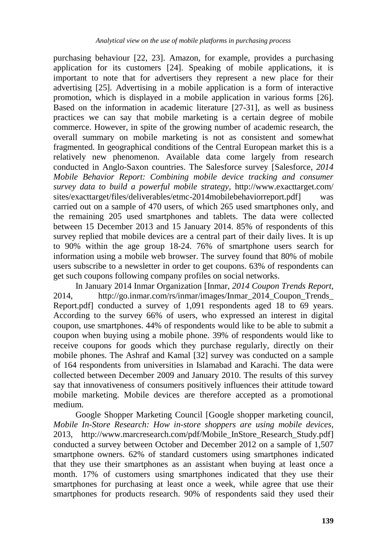purchasing behaviour [22, 23]. Amazon, for example, provides a purchasing application for its customers [24]. Speaking of mobile applications, it is important to note that for advertisers they represent a new place for their advertising [25]. Advertising in a mobile application is a form of interactive promotion, which is displayed in a mobile application in various forms [26]. Based on the information in academic literature [27-31], as well as business practices we can say that mobile marketing is a certain degree of mobile commerce. However, in spite of the growing number of academic research, the overall summary on mobile marketing is not as consistent and somewhat fragmented. In geographical conditions of the Central European market this is a relatively new phenomenon. Available data come largely from research conducted in Anglo-Saxon countries. The Salesforce survey [Salesforce, *2014 Mobile Behavior Report: Combining mobile device tracking and consumer survey data to build a powerful mobile strategy,* http://www.exacttarget.com/ sites/exacttarget/files/deliverables/etmc-2014mobilebehaviorreport.pdf] was carried out on a sample of 470 users, of which 265 used smartphones only, and the remaining 205 used smartphones and tablets. The data were collected between 15 December 2013 and 15 January 2014. 85% of respondents of this survey replied that mobile devices are a central part of their daily lives. It is up to 90% within the age group 18-24. 76% of smartphone users search for information using a mobile web browser. The survey found that 80% of mobile users subscribe to a newsletter in order to get coupons. 63% of respondents can get such coupons following company profiles on social networks.

In January 2014 Inmar Organization [Inmar, *2014 Coupon Trends Report*, 2014, http://go.inmar.com/rs/inmar/images/Inmar\_2014\_Coupon\_Trends\_ Report.pdf] conducted a survey of 1,091 respondents aged 18 to 69 years. According to the survey 66% of users, who expressed an interest in digital coupon, use smartphones. 44% of respondents would like to be able to submit a coupon when buying using a mobile phone. 39% of respondents would like to receive coupons for goods which they purchase regularly, directly on their mobile phones. The Ashraf and Kamal [32] survey was conducted on a sample of 164 respondents from universities in Islamabad and Karachi. The data were collected between December 2009 and January 2010. The results of this survey say that innovativeness of consumers positively influences their attitude toward mobile marketing. Mobile devices are therefore accepted as a promotional medium.

Google Shopper Marketing Council [Google shopper marketing council, *Mobile In-Store Research: How in-store shoppers are using mobile devices*, 2013, http://www.marcresearch.com/pdf/Mobile\_InStore\_Research\_Study.pdf] conducted a survey between October and December 2012 on a sample of 1,507 smartphone owners. 62% of standard customers using smartphones indicated that they use their smartphones as an assistant when buying at least once a month. 17% of customers using smartphones indicated that they use their smartphones for purchasing at least once a week, while agree that use their smartphones for products research. 90% of respondents said they used their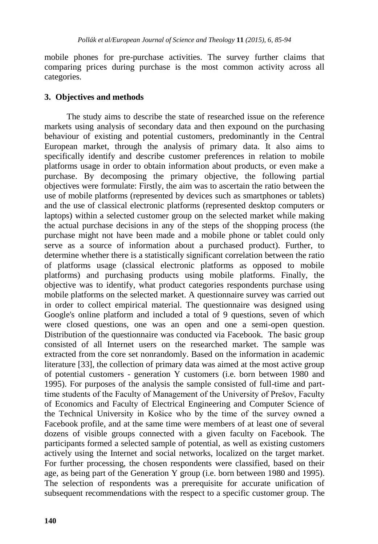mobile phones for pre-purchase activities. The survey further claims that comparing prices during purchase is the most common activity across all categories.

# **3. Objectives and methods**

The study aims to describe the state of researched issue on the reference markets using analysis of secondary data and then expound on the purchasing behaviour of existing and potential customers, predominantly in the Central European market, through the analysis of primary data. It also aims to specifically identify and describe customer preferences in relation to mobile platforms usage in order to obtain information about products, or even make a purchase. By decomposing the primary objective, the following partial objectives were formulate: Firstly, the aim was to ascertain the ratio between the use of mobile platforms (represented by devices such as smartphones or tablets) and the use of classical electronic platforms (represented desktop computers or laptops) within a selected customer group on the selected market while making the actual purchase decisions in any of the steps of the shopping process (the purchase might not have been made and a mobile phone or tablet could only serve as a source of information about a purchased product). Further, to determine whether there is a statistically significant correlation between the ratio of platforms usage (classical electronic platforms as opposed to mobile platforms) and purchasing products using mobile platforms. Finally, the objective was to identify, what product categories respondents purchase using mobile platforms on the selected market. A questionnaire survey was carried out in order to collect empirical material. The questionnaire was designed using Google's online platform and included a total of 9 questions, seven of which were closed questions, one was an open and one a semi-open question. Distribution of the questionnaire was conducted via Facebook. The basic group consisted of all Internet users on the researched market. The sample was extracted from the core set nonrandomly. Based on the information in academic literature [33], the collection of primary data was aimed at the most active group of potential customers - generation Y customers (i.e. born between 1980 and 1995). For purposes of the analysis the sample consisted of full-time and parttime students of the Faculty of Management of the University of Prešov, Faculty of Economics and Faculty of Electrical Engineering and Computer Science of the Technical University in Košice who by the time of the survey owned a Facebook profile, and at the same time were members of at least one of several dozens of visible groups connected with a given faculty on Facebook. The participants formed a selected sample of potential, as well as existing customers actively using the Internet and social networks, localized on the target market. For further processing, the chosen respondents were classified, based on their age, as being part of the Generation Y group (i.e. born between 1980 and 1995). The selection of respondents was a prerequisite for accurate unification of subsequent recommendations with the respect to a specific customer group. The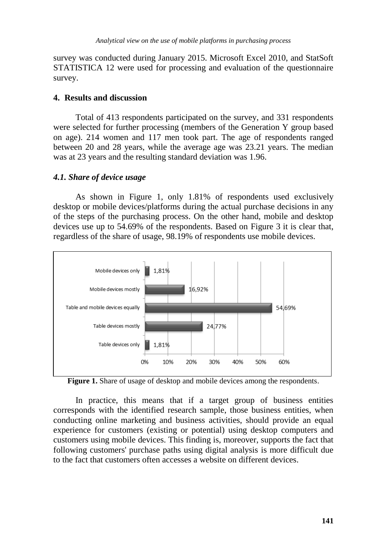survey was conducted during January 2015. Microsoft Excel 2010, and StatSoft STATISTICA 12 were used for processing and evaluation of the questionnaire survey.

### **4. Results and discussion**

Total of 413 respondents participated on the survey, and 331 respondents were selected for further processing (members of the Generation Y group based on age). 214 women and 117 men took part. The age of respondents ranged between 20 and 28 years, while the average age was 23.21 years. The median was at 23 years and the resulting standard deviation was 1.96.

#### *4.1. Share of device usage*

As shown in Figure 1, only 1.81% of respondents used exclusively desktop or mobile devices/platforms during the actual purchase decisions in any of the steps of the purchasing process. On the other hand, mobile and desktop devices use up to 54.69% of the respondents. Based on Figure 3 it is clear that, regardless of the share of usage, 98.19% of respondents use mobile devices.



Figure 1. Share of usage of desktop and mobile devices among the respondents.

In practice, this means that if a target group of business entities corresponds with the identified research sample, those business entities, when conducting online marketing and business activities, should provide an equal experience for customers (existing or potential) using desktop computers and customers using mobile devices. This finding is, moreover, supports the fact that following customers' purchase paths using digital analysis is more difficult due to the fact that customers often accesses a website on different devices.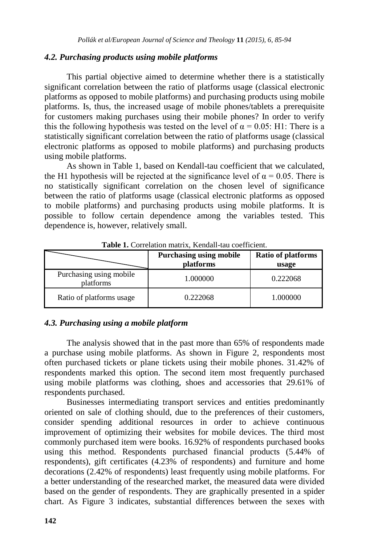#### *4.2. Purchasing products using mobile platforms*

This partial objective aimed to determine whether there is a statistically significant correlation between the ratio of platforms usage (classical electronic platforms as opposed to mobile platforms) and purchasing products using mobile platforms. Is, thus, the increased usage of mobile phones/tablets a prerequisite for customers making purchases using their mobile phones? In order to verify this the following hypothesis was tested on the level of  $\alpha = 0.05$ : H1: There is a statistically significant correlation between the ratio of platforms usage (classical electronic platforms as opposed to mobile platforms) and purchasing products using mobile platforms.

As shown in Table 1, based on Kendall-tau coefficient that we calculated, the H1 hypothesis will be rejected at the significance level of  $\alpha = 0.05$ . There is no statistically significant correlation on the chosen level of significance between the ratio of platforms usage (classical electronic platforms as opposed to mobile platforms) and purchasing products using mobile platforms. It is possible to follow certain dependence among the variables tested. This dependence is, however, relatively small.

|                                      | <b>Purchasing using mobile</b><br>platforms | <b>Ratio of platforms</b><br>usage |
|--------------------------------------|---------------------------------------------|------------------------------------|
| Purchasing using mobile<br>platforms | 1.000000                                    | 0.222068                           |
| Ratio of platforms usage             | 0.222068                                    | 1.000000                           |

**Table 1.** Correlation matrix, Kendall-tau coefficient.

# *4.3. Purchasing using a mobile platform*

The analysis showed that in the past more than 65% of respondents made a purchase using mobile platforms. As shown in Figure 2, respondents most often purchased tickets or plane tickets using their mobile phones. 31.42% of respondents marked this option. The second item most frequently purchased using mobile platforms was clothing, shoes and accessories that 29.61% of respondents purchased.

Businesses intermediating transport services and entities predominantly oriented on sale of clothing should, due to the preferences of their customers, consider spending additional resources in order to achieve continuous improvement of optimizing their websites for mobile devices. The third most commonly purchased item were books. 16.92% of respondents purchased books using this method. Respondents purchased financial products (5.44% of respondents), gift certificates (4.23% of respondents) and furniture and home decorations (2.42% of respondents) least frequently using mobile platforms. For a better understanding of the researched market, the measured data were divided based on the gender of respondents. They are graphically presented in a spider chart. As Figure 3 indicates, substantial differences between the sexes with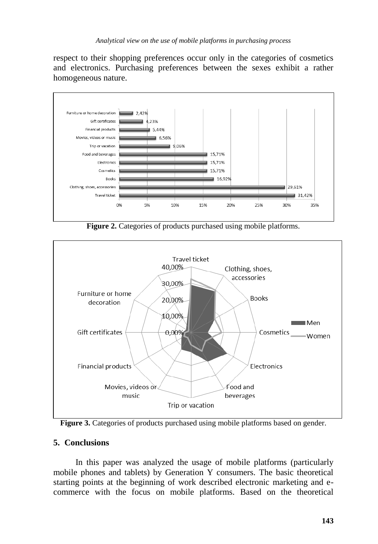respect to their shopping preferences occur only in the categories of cosmetics and electronics. Purchasing preferences between the sexes exhibit a rather homogeneous nature.



**Figure 2.** Categories of products purchased using mobile platforms.



**Figure 3.** Categories of products purchased using mobile platforms based on gender.

# **5. Conclusions**

In this paper was analyzed the usage of mobile platforms (particularly mobile phones and tablets) by Generation Y consumers. The basic theoretical starting points at the beginning of work described electronic marketing and ecommerce with the focus on mobile platforms. Based on the theoretical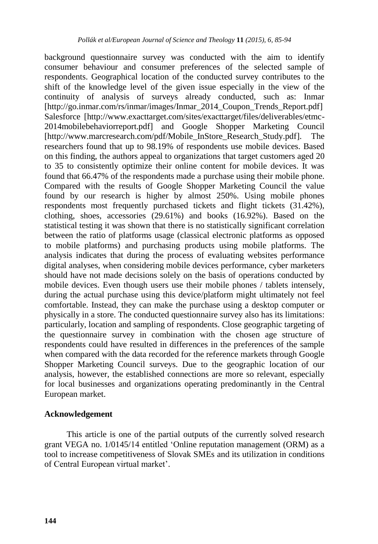background questionnaire survey was conducted with the aim to identify consumer behaviour and consumer preferences of the selected sample of respondents. Geographical location of the conducted survey contributes to the shift of the knowledge level of the given issue especially in the view of the continuity of analysis of surveys already conducted, such as: Inmar [http://go.inmar.com/rs/inmar/images/Inmar\_2014\_Coupon\_Trends\_Report.pdf] Salesforce [http://www.exacttarget.com/sites/exacttarget/files/deliverables/etmc-2014mobilebehaviorreport.pdf] and Google Shopper Marketing Council [http://www.marcresearch.com/pdf/Mobile\_InStore\_Research\_Study.pdf]. The researchers found that up to 98.19% of respondents use mobile devices. Based on this finding, the authors appeal to organizations that target customers aged 20 to 35 to consistently optimize their online content for mobile devices. It was found that 66.47% of the respondents made a purchase using their mobile phone. Compared with the results of Google Shopper Marketing Council the value found by our research is higher by almost 250%. Using mobile phones respondents most frequently purchased tickets and flight tickets (31.42%), clothing, shoes, accessories (29.61%) and books (16.92%). Based on the statistical testing it was shown that there is no statistically significant correlation between the ratio of platforms usage (classical electronic platforms as opposed to mobile platforms) and purchasing products using mobile platforms. The analysis indicates that during the process of evaluating websites performance digital analyses, when considering mobile devices performance, cyber marketers should have not made decisions solely on the basis of operations conducted by mobile devices. Even though users use their mobile phones / tablets intensely, during the actual purchase using this device/platform might ultimately not feel comfortable. Instead, they can make the purchase using a desktop computer or physically in a store. The conducted questionnaire survey also has its limitations: particularly, location and sampling of respondents. Close geographic targeting of the questionnaire survey in combination with the chosen age structure of respondents could have resulted in differences in the preferences of the sample when compared with the data recorded for the reference markets through Google Shopper Marketing Council surveys. Due to the geographic location of our analysis, however, the established connections are more so relevant, especially for local businesses and organizations operating predominantly in the Central European market.

# **Acknowledgement**

This article is one of the partial outputs of the currently solved research grant VEGA no. 1/0145/14 entitled 'Online reputation management (ORM) as a tool to increase competitiveness of Slovak SMEs and its utilization in conditions of Central European virtual market'.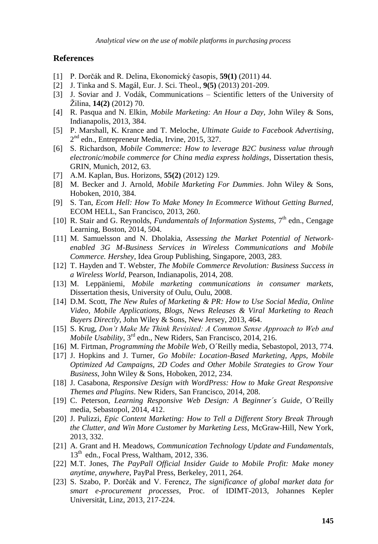#### **References**

- [1] P. Dorčák and R. Delina, Ekonomický časopis, **59(1)** (2011) 44.
- [2] J. Tinka and S. Magál, Eur. J. Sci. Theol., **9(5)** (2013) 201-209.
- [3] J. Soviar and J. Vodák, Communications Scientific letters of the University of Ţilina, **14(2)** (2012) 70.
- [4] R. Pasqua and N. Elkin, *Mobile Marketing: An Hour a Day,* John Wiley & Sons, Indianapolis, 2013, 384.
- [5] P. Marshall, K. Krance and T. Meloche, *Ultimate Guide to Facebook Advertising*, 2<sup>nd</sup> edn., Entrepreneur Media, Irvine, 2015, 327.
- [6] S. Richardson, *Mobile Commerce: How to leverage B2C business value through electronic/mobile commerce for China media express holdings*, Dissertation thesis, GRIN, Munich, 2012, 63.
- [7] A.M. Kaplan, Bus. Horizons, **55(2)** (2012) 129.
- [8] M. Becker and J. Arnold, *Mobile Marketing For Dummies*. John Wiley & Sons, Hoboken, 2010, 384.
- [9] S. Tan, *Ecom Hell: How To Make Money In Ecommerce Without Getting Burned,* ECOM HELL, San Francisco, 2013, 260.
- [10] R. Stair and G. Reynolds, *Fundamentals of Information Systems*, 7<sup>th</sup> edn., Cengage Learning, Boston, 2014, 504.
- [11] M. Samuelsson and N. Dholakia, *Assessing the Market Potential of Networkenabled 3G M-Business Services in Wireless Communications and Mobile Commerce. Hershey*, Idea Group Publishing, Singapore, 2003, 283.
- [12] T. Hayden and T. Webster, *The Mobile Commerce Revolution: Business Success in a Wireless World*, Pearson, Indianapolis, 2014, 208.
- [13] M. Leppäniemi, *Mobile marketing communications in consumer markets,* Dissertation thesis, University of Oulu, Oulu, 2008.
- [14] D.M. Scott, *The New Rules of Marketing & PR: How to Use Social Media, Online Video, Mobile Applications, Blogs, News Releases & Viral Marketing to Reach Buyers Directly*, John Wiley & Sons, New Jersey, 2013, 464.
- [15] S. Krug, *Don't Make Me Think Revisited: A Common Sense Approach to Web and Mobile Usability*, 3rd edn., New Riders, San Francisco, 2014, 216.
- [16] M. Firtman, *Programming the Mobile Web*, O'Reilly media, Sebastopol, 2013, 774.
- [17] J. Hopkins and J. Turner, *Go Mobile: Location-Based Marketing, Apps, Mobile Optimized Ad Campaigns, 2D Codes and Other Mobile Strategies to Grow Your Business*, John Wiley & Sons, Hoboken, 2012, 234.
- [18] J. Casabona, *Responsive Design with WordPress: How to Make Great Responsive Themes and Plugins*. New Riders, San Francisco, 2014, 208.
- [19] C. Peterson, *Learning Responsive Web Design: A Beginner´s Guide*, O´Reilly media, Sebastopol, 2014, 412.
- [20] J. Pulizzi, *Epic Content Marketing: How to Tell a Different Story Break Through the Clutter, and Win More Customer by Marketing Less*, McGraw-Hill, New York, 2013, 332.
- [21] A. Grant and H. Meadows, *Communication Technology Update and Fundamentals*, 13<sup>th</sup> edn., Focal Press, Waltham, 2012, 336.
- [22] M.T. Jones, *The PayPall Official Insider Guide to Mobile Profit: Make money anytime, anywhere*, PayPal Press, Berkeley, 2011, 264.
- [23] S. Szabo, P. Dorčák and V. Ferencz, *The significance of global market data for smart e-procurement processes,* Proc. of IDIMT-2013, Johannes Kepler Universität, Linz, 2013, 217-224.